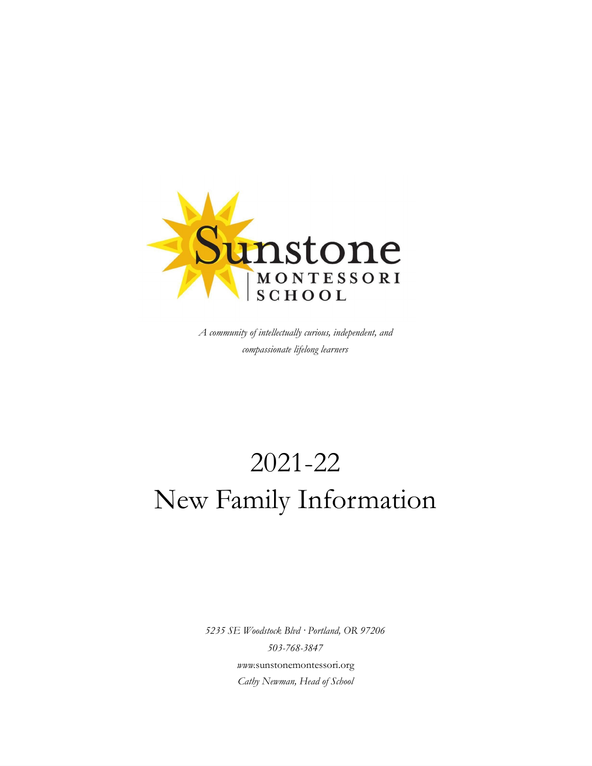

*A community of intellectually curious, independent, and compassionate lifelong learners*

# 2021-22 New Family Information

*5235 SE Woodstock Blvd · Portland, OR 97206 503-768-3847 www.*[sunstonemontessori.org](mailto:info@sunstonemontessori.org) *Cathy Newman, Head of School*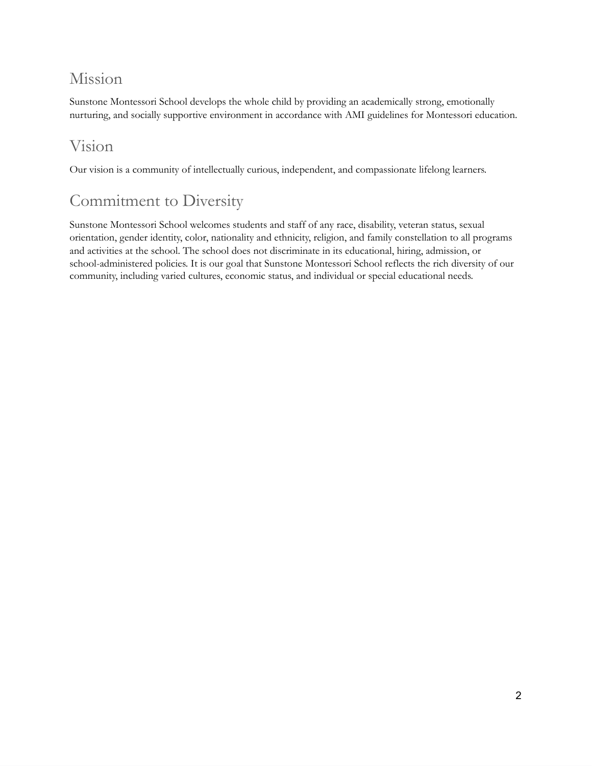#### Mission

Sunstone Montessori School develops the whole child by providing an academically strong, emotionally nurturing, and socially supportive environment in accordance with AMI guidelines for Montessori education.

#### Vision

Our vision is a community of intellectually curious, independent, and compassionate lifelong learners.

#### Commitment to Diversity

Sunstone Montessori School welcomes students and staff of any race, disability, veteran status, sexual orientation, gender identity, color, nationality and ethnicity, religion, and family constellation to all programs and activities at the school. The school does not discriminate in its educational, hiring, admission, or school-administered policies. It is our goal that Sunstone Montessori School reflects the rich diversity of our community, including varied cultures, economic status, and individual or special educational needs.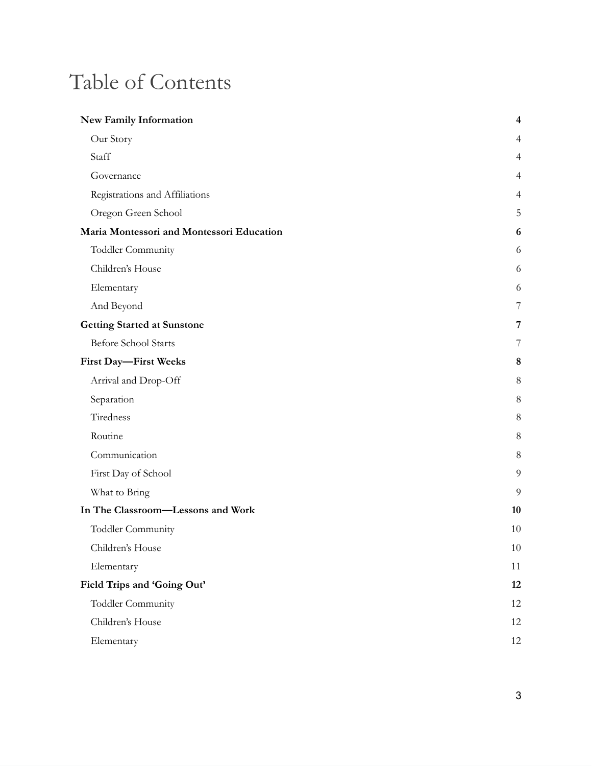### Table of Contents

| <b>New Family Information</b>             | $\overline{\mathbf{4}}$ |
|-------------------------------------------|-------------------------|
| Our Story                                 | 4                       |
| Staff                                     | $\overline{4}$          |
| Governance                                | 4                       |
| Registrations and Affiliations            | 4                       |
| Oregon Green School                       | 5                       |
| Maria Montessori and Montessori Education | 6                       |
| Toddler Community                         | 6                       |
| Children's House                          | 6                       |
| Elementary                                | 6                       |
| And Beyond                                | 7                       |
| <b>Getting Started at Sunstone</b>        | 7                       |
| Before School Starts                      | 7                       |
| First Day-First Weeks                     | 8                       |
| Arrival and Drop-Off                      | 8                       |
| Separation                                | 8                       |
| Tiredness                                 | 8                       |
| Routine                                   | 8                       |
| Communication                             | 8                       |
| First Day of School                       | 9                       |
| What to Bring                             | 9                       |
| In The Classroom-Lessons and Work         | 10                      |
| Toddler Community                         | 10                      |
| Children's House                          | 10                      |
| Elementary                                | 11                      |
| Field Trips and 'Going Out'               | 12                      |
| Toddler Community                         | 12                      |
| Children's House                          | 12                      |
| Elementary                                | 12                      |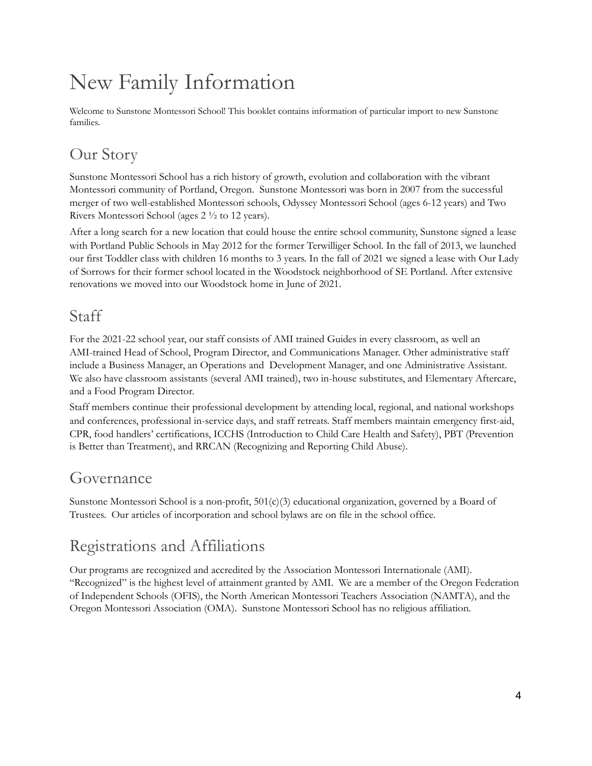### <span id="page-3-0"></span>New Family Information

Welcome to Sunstone Montessori School! This booklet contains information of particular import to new Sunstone families.

#### <span id="page-3-1"></span>Our Story

Sunstone Montessori School has a rich history of growth, evolution and collaboration with the vibrant Montessori community of Portland, Oregon. Sunstone Montessori was born in 2007 from the successful merger of two well-established Montessori schools, Odyssey Montessori School (ages 6-12 years) and Two Rivers Montessori School (ages 2 ½ to 12 years).

After a long search for a new location that could house the entire school community, Sunstone signed a lease with Portland Public Schools in May 2012 for the former Terwilliger School. In the fall of 2013, we launched our first Toddler class with children 16 months to 3 years. In the fall of 2021 we signed a lease with Our Lady of Sorrows for their former school located in the Woodstock neighborhood of SE Portland. After extensive renovations we moved into our Woodstock home in June of 2021.

#### <span id="page-3-2"></span>Staff

For the 2021-22 school year, our staff consists of AMI trained Guides in every classroom, as well an AMI-trained Head of School, Program Director, and Communications Manager. Other administrative staff include a Business Manager, an Operations and Development Manager, and one Administrative Assistant. We also have classroom assistants (several AMI trained), two in-house substitutes, and Elementary Aftercare, and a Food Program Director.

Staff members continue their professional development by attending local, regional, and national workshops and conferences, professional in-service days, and staff retreats. Staff members maintain emergency first-aid, CPR, food handlers' certifications, ICCHS (Introduction to Child Care Health and Safety), PBT (Prevention is Better than Treatment), and RRCAN (Recognizing and Reporting Child Abuse).

#### <span id="page-3-3"></span>Governance

Sunstone Montessori School is a non-profit,  $501(c)(3)$  educational organization, governed by a Board of Trustees. Our articles of incorporation and school bylaws are on file in the school office.

### <span id="page-3-4"></span>Registrations and Affiliations

Our programs are recognized and accredited by the Association Montessori Internationale (AMI). "Recognized" is the highest level of attainment granted by AMI. We are a member of the Oregon Federation of Independent Schools (OFIS), the North American Montessori Teachers Association (NAMTA), and the Oregon Montessori Association (OMA). Sunstone Montessori School has no religious affiliation.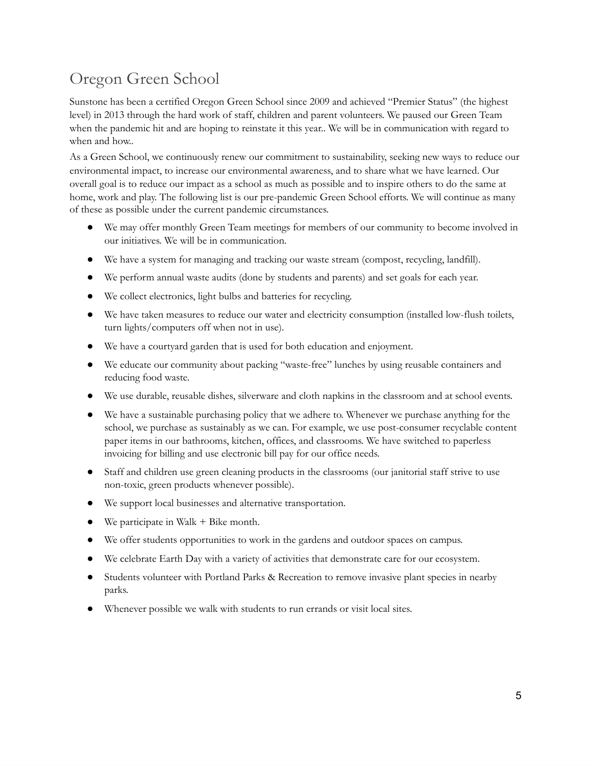#### <span id="page-4-0"></span>Oregon Green School

Sunstone has been a certified Oregon Green School since 2009 and achieved "Premier Status" (the highest level) in 2013 through the hard work of staff, children and parent volunteers. We paused our Green Team when the pandemic hit and are hoping to reinstate it this year.. We will be in communication with regard to when and how..

As a Green School, we continuously renew our commitment to sustainability, seeking new ways to reduce our environmental impact, to increase our environmental awareness, and to share what we have learned. Our overall goal is to reduce our impact as a school as much as possible and to inspire others to do the same at home, work and play. The following list is our pre-pandemic Green School efforts. We will continue as many of these as possible under the current pandemic circumstances.

- We may offer monthly Green Team meetings for members of our community to become involved in our initiatives. We will be in communication.
- We have a system for managing and tracking our waste stream (compost, recycling, landfill).
- We perform annual waste audits (done by students and parents) and set goals for each year.
- We collect electronics, light bulbs and batteries for recycling.
- We have taken measures to reduce our water and electricity consumption (installed low-flush toilets, turn lights/computers off when not in use).
- We have a courtyard garden that is used for both education and enjoyment.
- We educate our community about packing "waste-free" lunches by using reusable containers and reducing food waste.
- We use durable, reusable dishes, silverware and cloth napkins in the classroom and at school events.
- We have a sustainable purchasing policy that we adhere to. Whenever we purchase anything for the school, we purchase as sustainably as we can. For example, we use post-consumer recyclable content paper items in our bathrooms, kitchen, offices, and classrooms. We have switched to paperless invoicing for billing and use electronic bill pay for our office needs.
- Staff and children use green cleaning products in the classrooms (our janitorial staff strive to use non-toxic, green products whenever possible).
- We support local businesses and alternative transportation.
- We participate in Walk  $+$  Bike month.
- We offer students opportunities to work in the gardens and outdoor spaces on campus.
- We celebrate Earth Day with a variety of activities that demonstrate care for our ecosystem.
- Students volunteer with Portland Parks & Recreation to remove invasive plant species in nearby parks.
- Whenever possible we walk with students to run errands or visit local sites.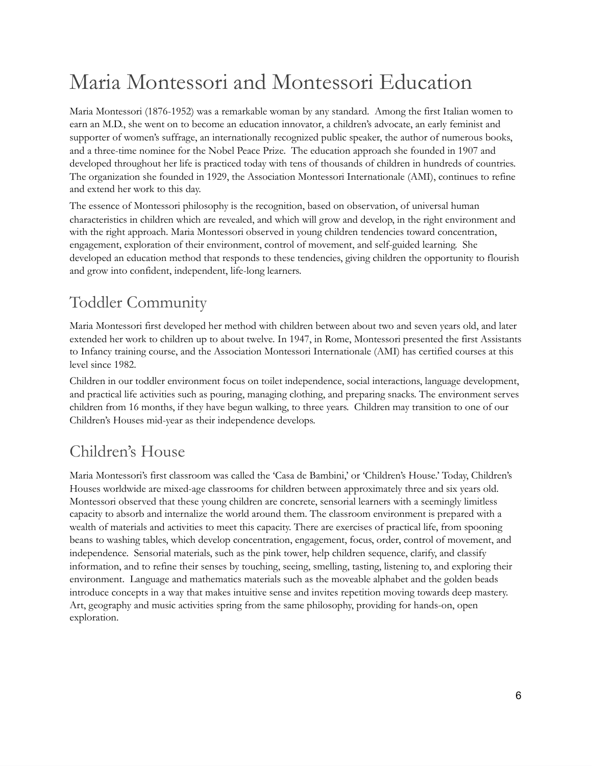### <span id="page-5-0"></span>Maria Montessori and Montessori Education

Maria Montessori (1876-1952) was a remarkable woman by any standard. Among the first Italian women to earn an M.D., she went on to become an education innovator, a children's advocate, an early feminist and supporter of women's suffrage, an internationally recognized public speaker, the author of numerous books, and a three-time nominee for the Nobel Peace Prize. The education approach she founded in 1907 and developed throughout her life is practiced today with tens of thousands of children in hundreds of countries. The organization she founded in 1929, the Association Montessori Internationale (AMI), continues to refine and extend her work to this day.

The essence of Montessori philosophy is the recognition, based on observation, of universal human characteristics in children which are revealed, and which will grow and develop, in the right environment and with the right approach. Maria Montessori observed in young children tendencies toward concentration, engagement, exploration of their environment, control of movement, and self-guided learning. She developed an education method that responds to these tendencies, giving children the opportunity to flourish and grow into confident, independent, life-long learners.

#### <span id="page-5-1"></span>Toddler Community

Maria Montessori first developed her method with children between about two and seven years old, and later extended her work to children up to about twelve. In 1947, in Rome, Montessori presented the first Assistants to Infancy training course, and the Association Montessori Internationale (AMI) has certified courses at this level since 1982.

Children in our toddler environment focus on toilet independence, social interactions, language development, and practical life activities such as pouring, managing clothing, and preparing snacks. The environment serves children from 16 months, if they have begun walking, to three years. Children may transition to one of our Children's Houses mid-year as their independence develops.

### <span id="page-5-2"></span>Children's House

Maria Montessori's first classroom was called the 'Casa de Bambini,' or 'Children's House.' Today, Children's Houses worldwide are mixed-age classrooms for children between approximately three and six years old. Montessori observed that these young children are concrete, sensorial learners with a seemingly limitless capacity to absorb and internalize the world around them. The classroom environment is prepared with a wealth of materials and activities to meet this capacity. There are exercises of practical life, from spooning beans to washing tables, which develop concentration, engagement, focus, order, control of movement, and independence. Sensorial materials, such as the pink tower, help children sequence, clarify, and classify information, and to refine their senses by touching, seeing, smelling, tasting, listening to, and exploring their environment. Language and mathematics materials such as the moveable alphabet and the golden beads introduce concepts in a way that makes intuitive sense and invites repetition moving towards deep mastery. Art, geography and music activities spring from the same philosophy, providing for hands-on, open exploration.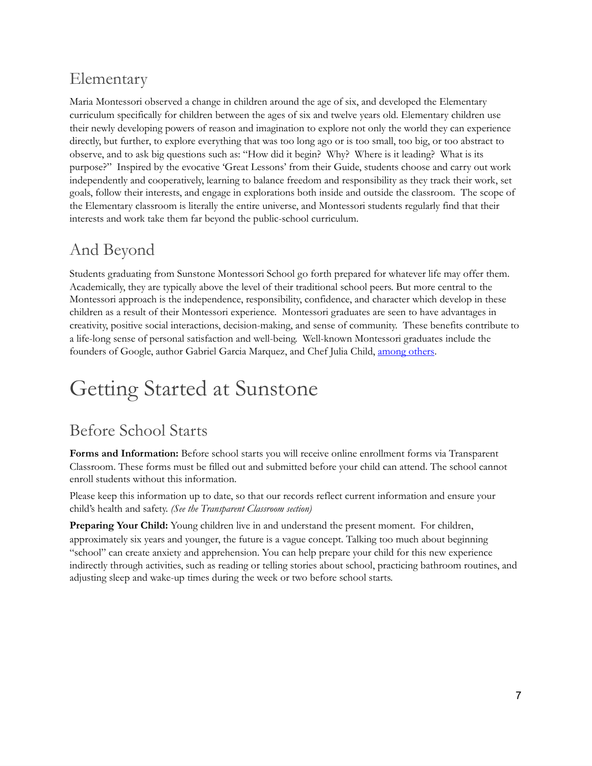#### <span id="page-6-0"></span>Elementary

Maria Montessori observed a change in children around the age of six, and developed the Elementary curriculum specifically for children between the ages of six and twelve years old. Elementary children use their newly developing powers of reason and imagination to explore not only the world they can experience directly, but further, to explore everything that was too long ago or is too small, too big, or too abstract to observe, and to ask big questions such as: "How did it begin? Why? Where is it leading? What is its purpose?" Inspired by the evocative 'Great Lessons' from their Guide, students choose and carry out work independently and cooperatively, learning to balance freedom and responsibility as they track their work, set goals, follow their interests, and engage in explorations both inside and outside the classroom. The scope of the Elementary classroom is literally the entire universe, and Montessori students regularly find that their interests and work take them far beyond the public-school curriculum.

#### <span id="page-6-1"></span>And Beyond

Students graduating from Sunstone Montessori School go forth prepared for whatever life may offer them. Academically, they are typically above the level of their traditional school peers. But more central to the Montessori approach is the independence, responsibility, confidence, and character which develop in these children as a result of their Montessori experience. Montessori graduates are seen to have advantages in creativity, positive social interactions, decision-making, and sense of community. These benefits contribute to a life-long sense of personal satisfaction and well-being. Well-known Montessori graduates include the founders of Google, author Gabriel Garcia Marquez, and Chef Julia Child, [among](https://sunstonemontessori.org/what-is-montessori/famous-montessorians/) others.

### <span id="page-6-2"></span>Getting Started at Sunstone

#### <span id="page-6-3"></span>Before School Starts

**Forms and Information:** Before school starts you will receive online enrollment forms via Transparent Classroom. These forms must be filled out and submitted before your child can attend. The school cannot enroll students without this information.

Please keep this information up to date, so that our records reflect current information and ensure your child's health and safety. *(See the Transparent Classroom section)*

<span id="page-6-4"></span>**Preparing Your Child:** Young children live in and understand the present moment. For children, approximately six years and younger, the future is a vague concept. Talking too much about beginning "school" can create anxiety and apprehension. You can help prepare your child for this new experience indirectly through activities, such as reading or telling stories about school, practicing bathroom routines, and adjusting sleep and wake-up times during the week or two before school starts.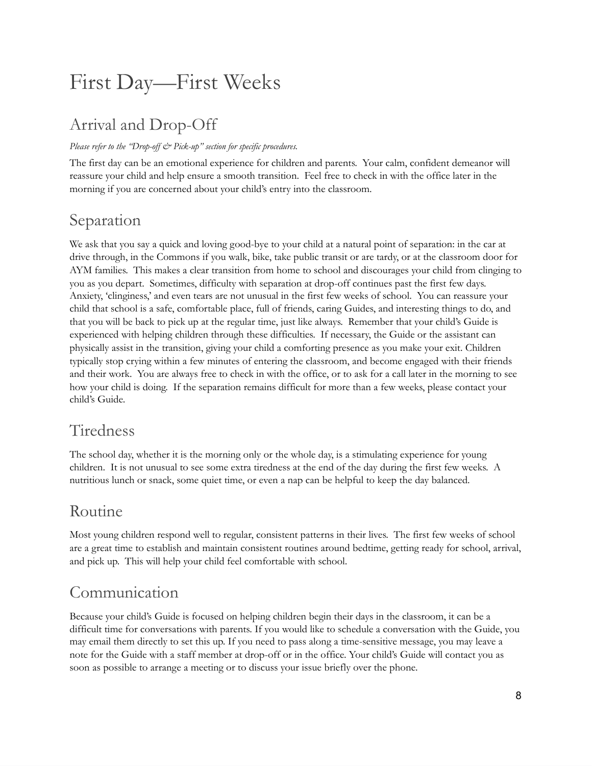### First Day—First Weeks

#### <span id="page-7-0"></span>Arrival and Drop-Off

#### *Please refer to the "Drop-off & Pick-up" section for specific procedures.*

The first day can be an emotional experience for children and parents. Your calm, confident demeanor will reassure your child and help ensure a smooth transition. Feel free to check in with the office later in the morning if you are concerned about your child's entry into the classroom.

#### <span id="page-7-1"></span>Separation

We ask that you say a quick and loving good-bye to your child at a natural point of separation: in the car at drive through, in the Commons if you walk, bike, take public transit or are tardy, or at the classroom door for AYM families. This makes a clear transition from home to school and discourages your child from clinging to you as you depart. Sometimes, difficulty with separation at drop-off continues past the first few days. Anxiety, 'clinginess,' and even tears are not unusual in the first few weeks of school. You can reassure your child that school is a safe, comfortable place, full of friends, caring Guides, and interesting things to do, and that you will be back to pick up at the regular time, just like always. Remember that your child's Guide is experienced with helping children through these difficulties. If necessary, the Guide or the assistant can physically assist in the transition, giving your child a comforting presence as you make your exit. Children typically stop crying within a few minutes of entering the classroom, and become engaged with their friends and their work. You are always free to check in with the office, or to ask for a call later in the morning to see how your child is doing. If the separation remains difficult for more than a few weeks, please contact your child's Guide.

#### <span id="page-7-2"></span>Tiredness

The school day, whether it is the morning only or the whole day, is a stimulating experience for young children. It is not unusual to see some extra tiredness at the end of the day during the first few weeks. A nutritious lunch or snack, some quiet time, or even a nap can be helpful to keep the day balanced.

#### <span id="page-7-3"></span>Routine

Most young children respond well to regular, consistent patterns in their lives. The first few weeks of school are a great time to establish and maintain consistent routines around bedtime, getting ready for school, arrival, and pick up. This will help your child feel comfortable with school.

#### <span id="page-7-4"></span>Communication

Because your child's Guide is focused on helping children begin their days in the classroom, it can be a difficult time for conversations with parents. If you would like to schedule a conversation with the Guide, you may email them directly to set this up. If you need to pass along a time-sensitive message, you may leave a note for the Guide with a staff member at drop-off or in the office. Your child's Guide will contact you as soon as possible to arrange a meeting or to discuss your issue briefly over the phone.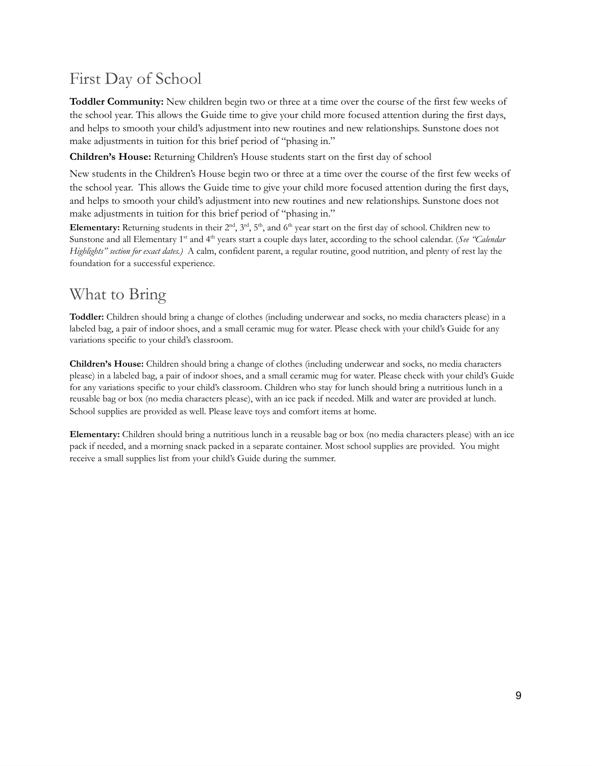#### <span id="page-8-0"></span>First Day of School

**Toddler Community:** New children begin two or three at a time over the course of the first few weeks of the school year. This allows the Guide time to give your child more focused attention during the first days, and helps to smooth your child's adjustment into new routines and new relationships. Sunstone does not make adjustments in tuition for this brief period of "phasing in."

**Children's House:** Returning Children's House students start on the first day of school

New students in the Children's House begin two or three at a time over the course of the first few weeks of the school year. This allows the Guide time to give your child more focused attention during the first days, and helps to smooth your child's adjustment into new routines and new relationships. Sunstone does not make adjustments in tuition for this brief period of "phasing in."

**Elementary:** Returning students in their  $2^{nd}$ ,  $3^{rd}$ ,  $5^{th}$ , and  $6^{th}$  year start on the first day of school. Children new to Sunstone and all Elementary 1<sup>st</sup> and 4<sup>th</sup> years start a couple days later, according to the school calendar. (See "Calendar *Highlights" section for exact dates.)* A calm, confident parent, a regular routine, good nutrition, and plenty of rest lay the foundation for a successful experience.

#### <span id="page-8-1"></span>What to Bring

**Toddler:** Children should bring a change of clothes (including underwear and socks, no media characters please) in a labeled bag, a pair of indoor shoes, and a small ceramic mug for water. Please check with your child's Guide for any variations specific to your child's classroom.

**Children's House:** Children should bring a change of clothes (including underwear and socks, no media characters please) in a labeled bag, a pair of indoor shoes, and a small ceramic mug for water. Please check with your child's Guide for any variations specific to your child's classroom. Children who stay for lunch should bring a nutritious lunch in a reusable bag or box (no media characters please), with an ice pack if needed. Milk and water are provided at lunch. School supplies are provided as well. Please leave toys and comfort items at home.

**Elementary:** Children should bring a nutritious lunch in a reusable bag or box (no media characters please) with an ice pack if needed, and a morning snack packed in a separate container. Most school supplies are provided. You might receive a small supplies list from your child's Guide during the summer.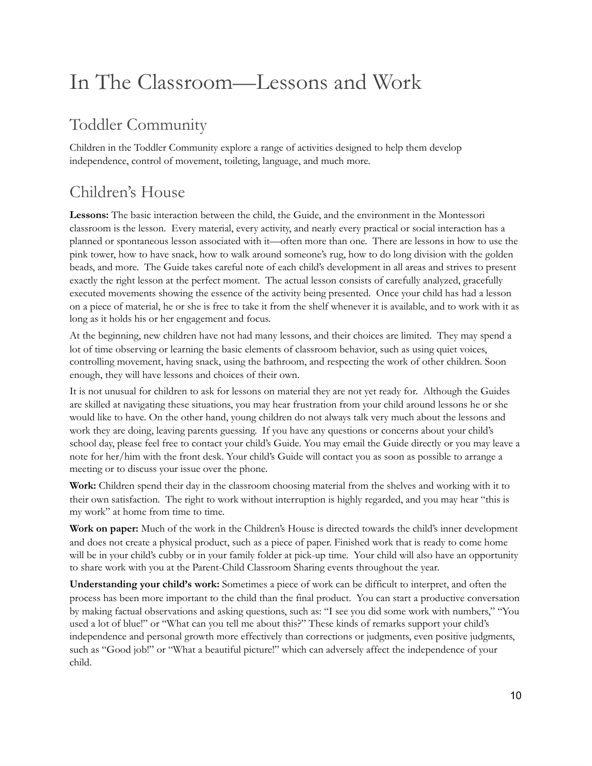### <span id="page-9-0"></span>In The Classroom—Lessons and Work

#### <span id="page-9-1"></span>Toddler Community

Children in the Toddler Community explore a range of activities designed to help them develop independence, control of movement, toileting, language, and much more.

### <span id="page-9-2"></span>Children's House

**Lessons:** The basic interaction between the child, the Guide, and the environment in the Montessori classroom is the lesson. Every material, every activity, and nearly every practical or social interaction has a planned or spontaneous lesson associated with it—often more than one. There are lessons in how to use the pink tower, how to have snack, how to walk around someone's rug, how to do long division with the golden beads, and more. The Guide takes careful note of each child's development in all areas and strives to present exactly the right lesson at the perfect moment. The actual lesson consists of carefully analyzed, gracefully executed movements showing the essence of the activity being presented. Once your child has had a lesson on a piece of material, he or she is free to take it from the shelf whenever it is available, and to work with it as long as it holds his or her engagement and focus.

At the beginning, new children have not had many lessons, and their choices are limited. They may spend a lot of time observing or learning the basic elements of classroom behavior, such as using quiet voices, controlling movement, having snack, using the bathroom, and respecting the work of other children. Soon enough, they will have lessons and choices of their own.

It is not unusual for children to ask for lessons on material they are not yet ready for. Although the Guides are skilled at navigating these situations, you may hear frustration from your child around lessons he or she would like to have. On the other hand, young children do not always talk very much about the lessons and work they are doing, leaving parents guessing. If you have any questions or concerns about your child's school day, please feel free to contact your child's Guide. You may email the Guide directly or you may leave a note for her/him with the front desk. Your child's Guide will contact you as soon as possible to arrange a meeting or to discuss your issue over the phone.

**Work:** Children spend their day in the classroom choosing material from the shelves and working with it to their own satisfaction. The right to work without interruption is highly regarded, and you may hear "this is my work" at home from time to time.

**Work on paper:** Much of the work in the Children's House is directed towards the child's inner development and does not create a physical product, such as a piece of paper. Finished work that is ready to come home will be in your child's cubby or in your family folder at pick-up time. Your child will also have an opportunity to share work with you at the Parent-Child Classroom Sharing events throughout the year.

**Understanding your child's work:** Sometimes a piece of work can be difficult to interpret, and often the process has been more important to the child than the final product. You can start a productive conversation by making factual observations and asking questions, such as: "I see you did some work with numbers," "You used a lot of blue!" or "What can you tell me about this?" These kinds of remarks support your child's independence and personal growth more effectively than corrections or judgments, even positive judgments, such as "Good job!" or "What a beautiful picture!" which can adversely affect the independence of your child.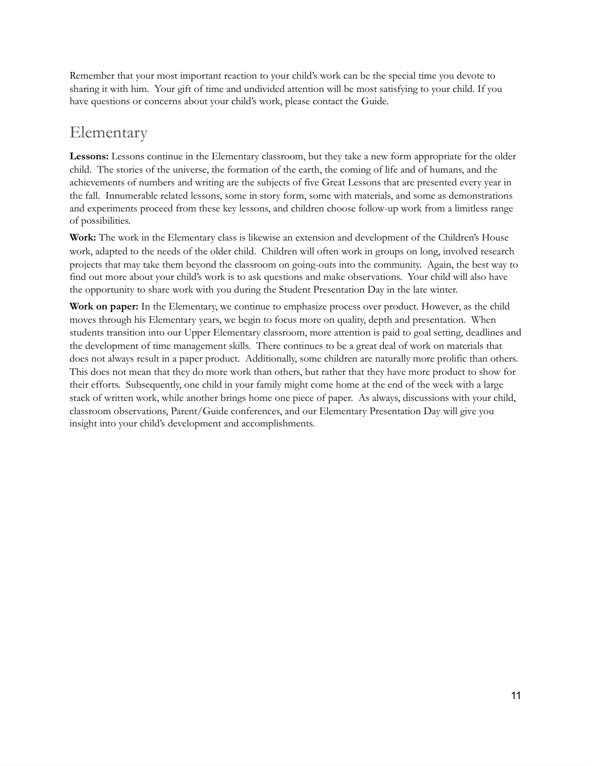Remember that your most important reaction to your child's work can be the special time you devote to sharing it with him. Your gift of time and undivided attention will be most satisfying to your child. If you have questions or concerns about your child's work, please contact the Guide.

#### <span id="page-10-0"></span>Elementary

**Lessons:** Lessons continue in the Elementary classroom, but they take a new form appropriate for the older child. The stories of the universe, the formation of the earth, the coming of life and of humans, and the achievements of numbers and writing are the subjects of five Great Lessons that are presented every year in the fall. Innumerable related lessons, some in story form, some with materials, and some as demonstrations and experiments proceed from these key lessons, and children choose follow-up work from a limitless range of possibilities.

**Work:** The work in the Elementary class is likewise an extension and development of the Children's House work, adapted to the needs of the older child. Children will often work in groups on long, involved research projects that may take them beyond the classroom on going-outs into the community. Again, the best way to find out more about your child's work is to ask questions and make observations. Your child will also have the opportunity to share work with you during the Student Presentation Day in the late winter.

**Work on paper:** In the Elementary, we continue to emphasize process over product. However, as the child moves through his Elementary years, we begin to focus more on quality, depth and presentation. When students transition into our Upper Elementary classroom, more attention is paid to goal setting, deadlines and the development of time management skills. There continues to be a great deal of work on materials that does not always result in a paper product. Additionally, some children are naturally more prolific than others. This does not mean that they do more work than others, but rather that they have more product to show for their efforts. Subsequently, one child in your family might come home at the end of the week with a large stack of written work, while another brings home one piece of paper. As always, discussions with your child, classroom observations, Parent/Guide conferences, and our Elementary Presentation Day will give you insight into your child's development and accomplishments.